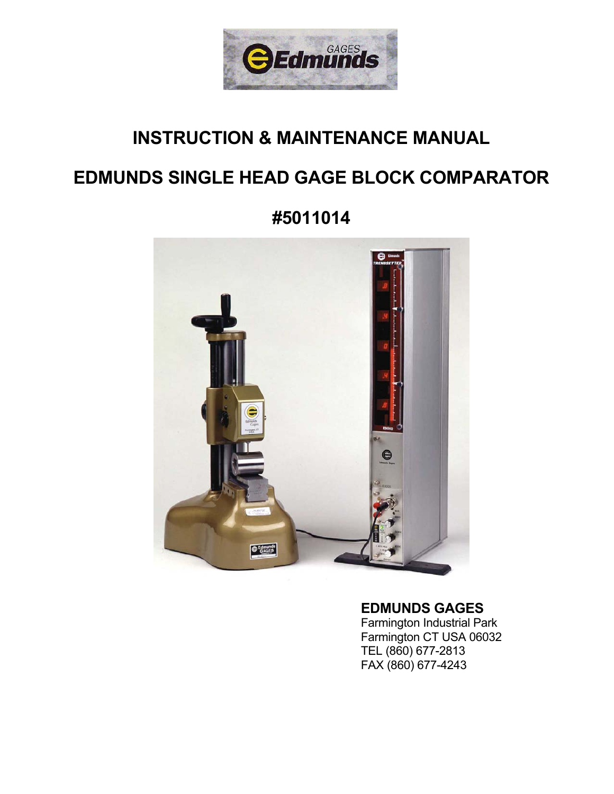

# **INSTRUCTION & MAINTENANCE MANUAL**

# **EDMUNDS SINGLE HEAD GAGE BLOCK COMPARATOR**

**#5011014** 



## **EDMUNDS GAGES**

 Farmington Industrial Park Farmington CT USA 06032 TEL (860) 677-2813 FAX (860) 677-4243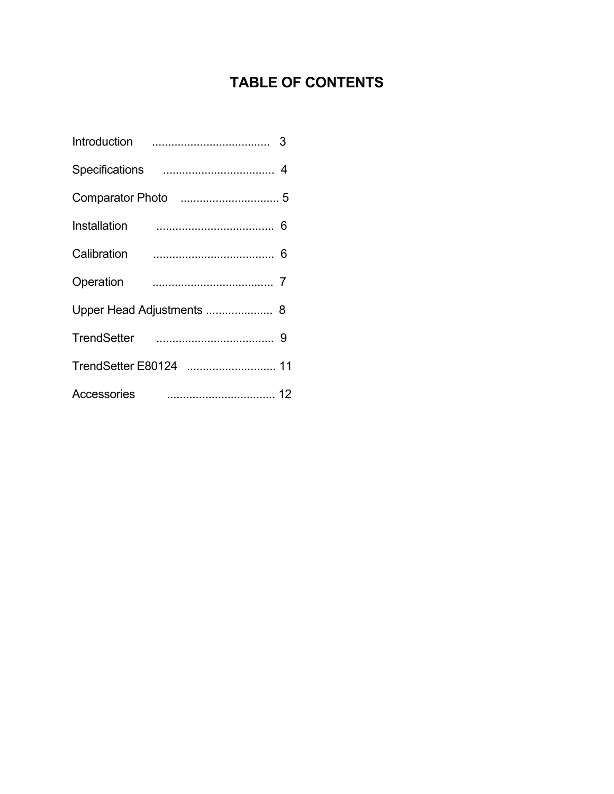## **TABLE OF CONTENTS**

| Introduction           |  |
|------------------------|--|
|                        |  |
|                        |  |
| Installation           |  |
| Calibration            |  |
| Operation              |  |
|                        |  |
| <b>TrendSetter</b>     |  |
| TrendSetter E80124  11 |  |
| Accessories            |  |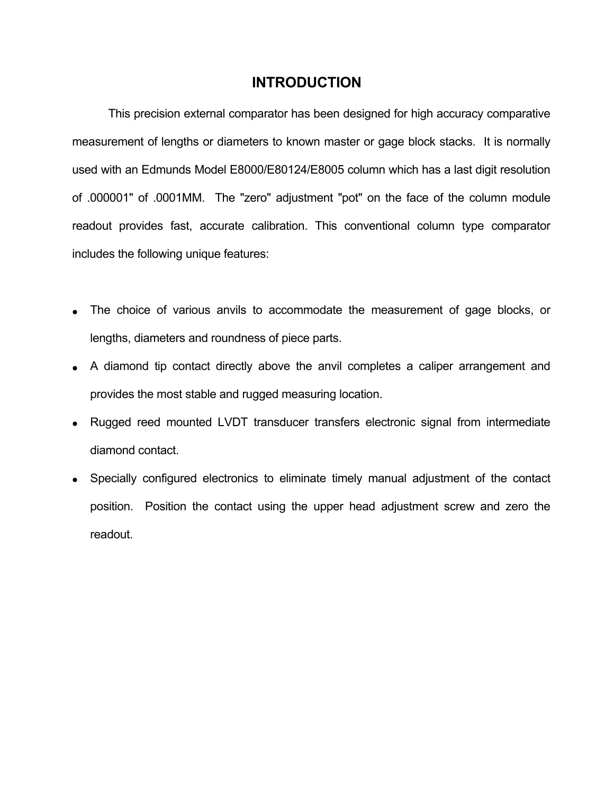### **INTRODUCTION**

 This precision external comparator has been designed for high accuracy comparative measurement of lengths or diameters to known master or gage block stacks. It is normally used with an Edmunds Model E8000/E80124/E8005 column which has a last digit resolution of .000001" of .0001MM. The "zero" adjustment "pot" on the face of the column module readout provides fast, accurate calibration. This conventional column type comparator includes the following unique features:

- The choice of various anvils to accommodate the measurement of gage blocks, or lengths, diameters and roundness of piece parts.
- A diamond tip contact directly above the anvil completes a caliper arrangement and provides the most stable and rugged measuring location.
- Rugged reed mounted LVDT transducer transfers electronic signal from intermediate diamond contact.
- Specially configured electronics to eliminate timely manual adjustment of the contact position. Position the contact using the upper head adjustment screw and zero the readout.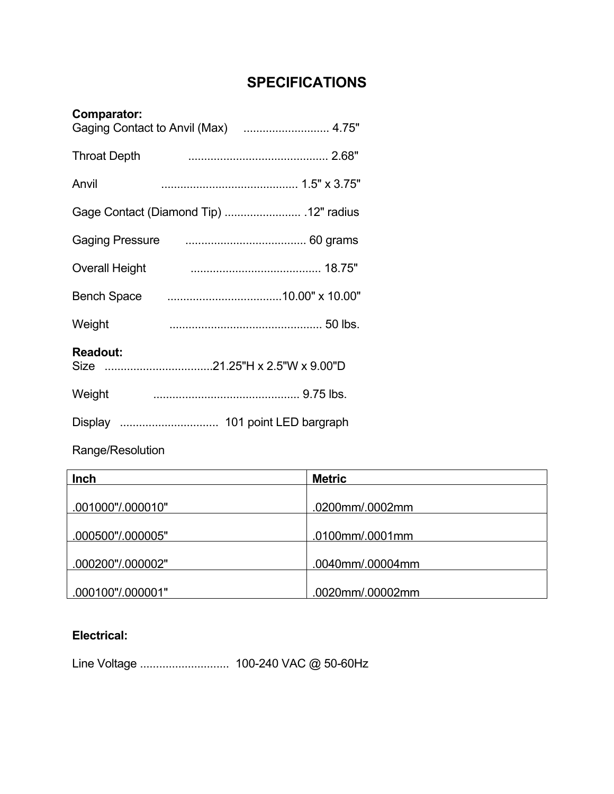## **SPECIFICATIONS**

| Comparator:           |  |
|-----------------------|--|
| <b>Throat Depth</b>   |  |
| Anvil                 |  |
|                       |  |
|                       |  |
| <b>Overall Height</b> |  |
| <b>Bench Space</b>    |  |
| Weight                |  |
| <b>Readout:</b>       |  |
| Weight                |  |
|                       |  |

Range/Resolution

| Inch              | <b>Metric</b>    |
|-------------------|------------------|
|                   |                  |
| .001000"/.000010" | .0200mm/.0002mm  |
|                   |                  |
| .000500"/.000005" | .0100mm/.0001mm  |
|                   |                  |
| .000200"/.000002" | .0040mm/.00004mm |
|                   |                  |
| .000100"/.000001" | .0020mm/.00002mm |

### **Electrical:**

Line Voltage ............................ 100-240 VAC @ 50-60Hz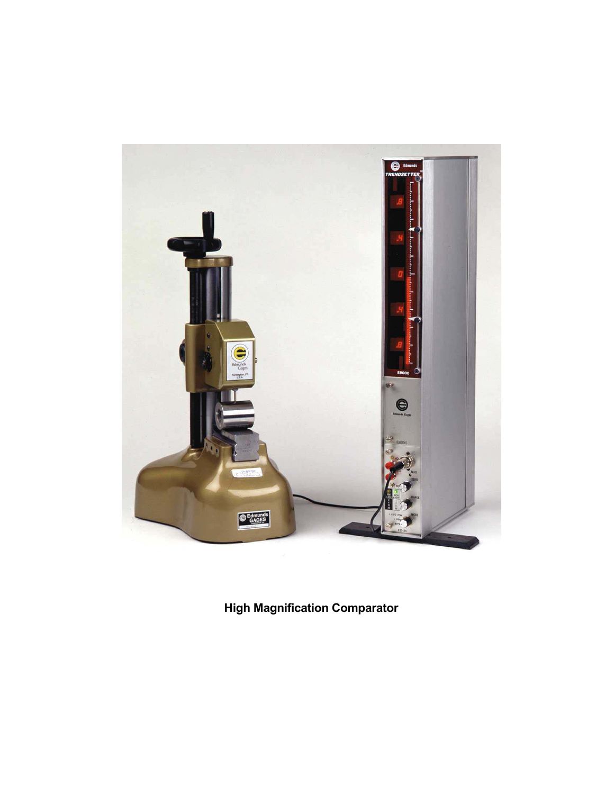

**High Magnification Comparator**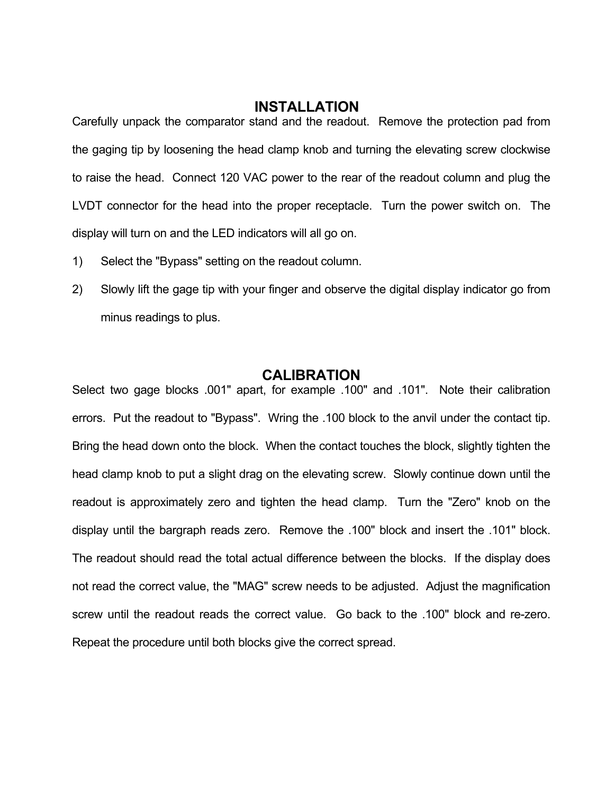### **INSTALLATION**

Carefully unpack the comparator stand and the readout. Remove the protection pad from the gaging tip by loosening the head clamp knob and turning the elevating screw clockwise to raise the head. Connect 120 VAC power to the rear of the readout column and plug the LVDT connector for the head into the proper receptacle. Turn the power switch on. The display will turn on and the LED indicators will all go on.

- 1) Select the "Bypass" setting on the readout column.
- 2) Slowly lift the gage tip with your finger and observe the digital display indicator go from minus readings to plus.

### **CALIBRATION**

Select two gage blocks .001" apart, for example .100" and .101". Note their calibration errors. Put the readout to "Bypass". Wring the .100 block to the anvil under the contact tip. Bring the head down onto the block. When the contact touches the block, slightly tighten the head clamp knob to put a slight drag on the elevating screw. Slowly continue down until the readout is approximately zero and tighten the head clamp. Turn the "Zero" knob on the display until the bargraph reads zero. Remove the .100" block and insert the .101" block. The readout should read the total actual difference between the blocks. If the display does not read the correct value, the "MAG" screw needs to be adjusted. Adjust the magnification screw until the readout reads the correct value. Go back to the .100" block and re-zero. Repeat the procedure until both blocks give the correct spread.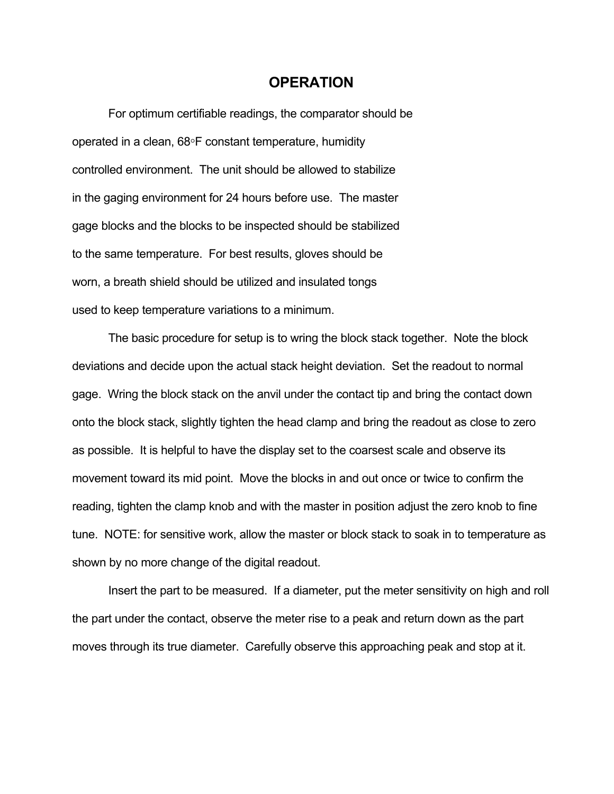### **OPERATION**

 For optimum certifiable readings, the comparator should be operated in a clean, 68°F constant temperature, humidity controlled environment. The unit should be allowed to stabilize in the gaging environment for 24 hours before use. The master gage blocks and the blocks to be inspected should be stabilized to the same temperature. For best results, gloves should be worn, a breath shield should be utilized and insulated tongs used to keep temperature variations to a minimum.

 The basic procedure for setup is to wring the block stack together. Note the block deviations and decide upon the actual stack height deviation. Set the readout to normal gage. Wring the block stack on the anvil under the contact tip and bring the contact down onto the block stack, slightly tighten the head clamp and bring the readout as close to zero as possible. It is helpful to have the display set to the coarsest scale and observe its movement toward its mid point. Move the blocks in and out once or twice to confirm the reading, tighten the clamp knob and with the master in position adjust the zero knob to fine tune. NOTE: for sensitive work, allow the master or block stack to soak in to temperature as shown by no more change of the digital readout.

 Insert the part to be measured. If a diameter, put the meter sensitivity on high and roll the part under the contact, observe the meter rise to a peak and return down as the part moves through its true diameter. Carefully observe this approaching peak and stop at it.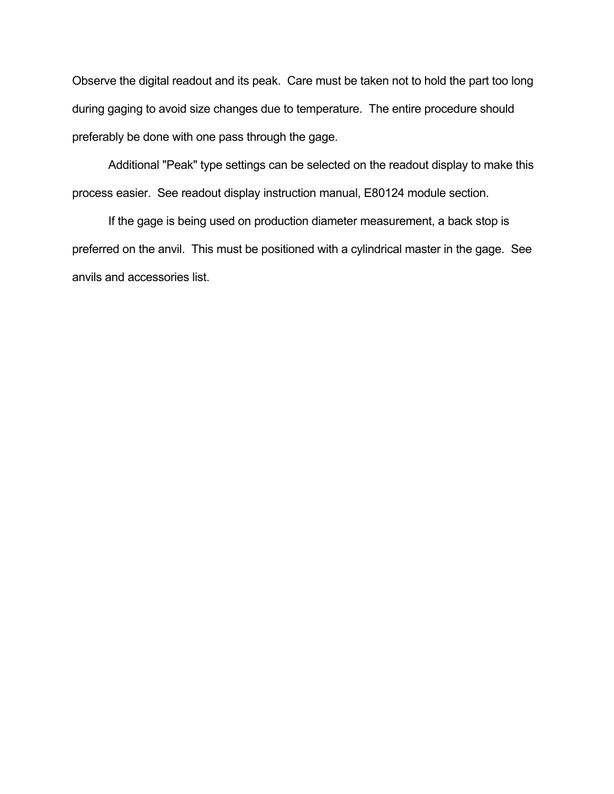Observe the digital readout and its peak. Care must be taken not to hold the part too long during gaging to avoid size changes due to temperature. The entire procedure should preferably be done with one pass through the gage.

 Additional "Peak" type settings can be selected on the readout display to make this process easier. See readout display instruction manual, E80124 module section.

 If the gage is being used on production diameter measurement, a back stop is preferred on the anvil. This must be positioned with a cylindrical master in the gage. See anvils and accessories list.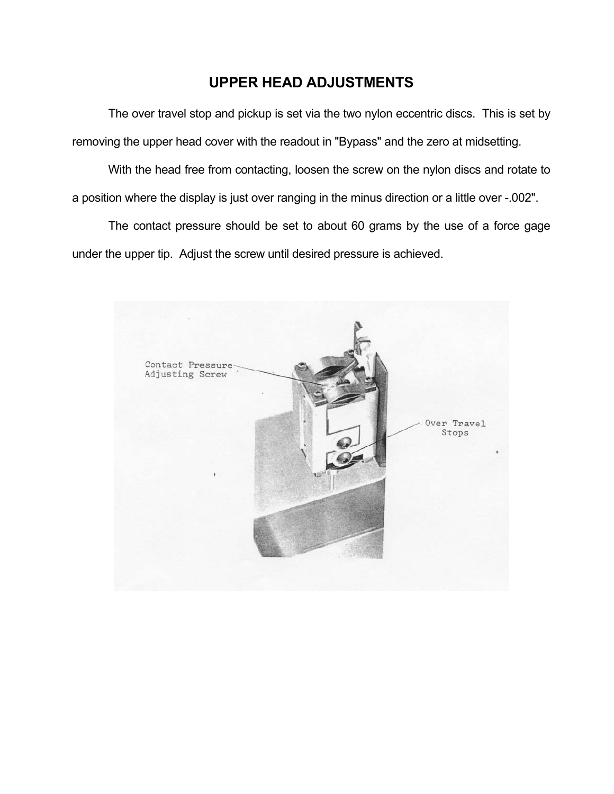## **UPPER HEAD ADJUSTMENTS**

 The over travel stop and pickup is set via the two nylon eccentric discs. This is set by removing the upper head cover with the readout in "Bypass" and the zero at midsetting.

 With the head free from contacting, loosen the screw on the nylon discs and rotate to a position where the display is just over ranging in the minus direction or a little over -.002".

 The contact pressure should be set to about 60 grams by the use of a force gage under the upper tip. Adjust the screw until desired pressure is achieved.

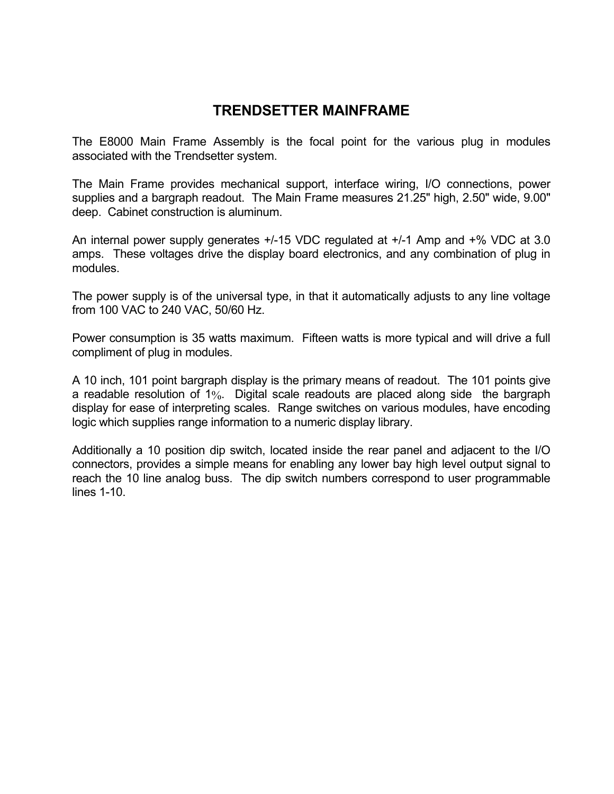## **TRENDSETTER MAINFRAME**

The E8000 Main Frame Assembly is the focal point for the various plug in modules associated with the Trendsetter system.

The Main Frame provides mechanical support, interface wiring, I/O connections, power supplies and a bargraph readout. The Main Frame measures 21.25" high, 2.50" wide, 9.00" deep. Cabinet construction is aluminum.

An internal power supply generates +/-15 VDC regulated at +/-1 Amp and +% VDC at 3.0 amps. These voltages drive the display board electronics, and any combination of plug in modules.

The power supply is of the universal type, in that it automatically adjusts to any line voltage from 100 VAC to 240 VAC, 50/60 Hz.

Power consumption is 35 watts maximum. Fifteen watts is more typical and will drive a full compliment of plug in modules.

A 10 inch, 101 point bargraph display is the primary means of readout. The 101 points give a readable resolution of 1%. Digital scale readouts are placed along side the bargraph display for ease of interpreting scales. Range switches on various modules, have encoding logic which supplies range information to a numeric display library.

Additionally a 10 position dip switch, located inside the rear panel and adjacent to the I/O connectors, provides a simple means for enabling any lower bay high level output signal to reach the 10 line analog buss. The dip switch numbers correspond to user programmable lines 1-10.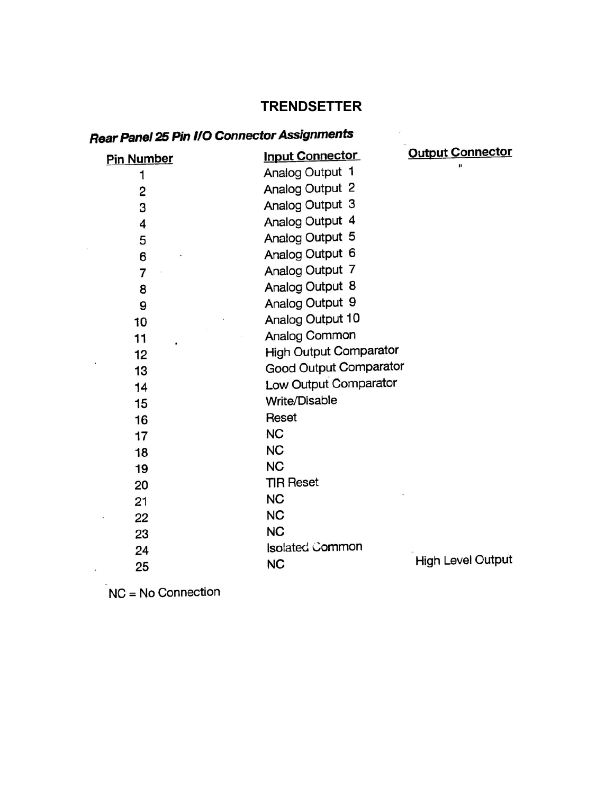## **TRENDSETTER**

# **Rear Panel 25 Pin I/O Connector Assignments**

| Rear Panel 25 Pin I/O Connector Assignments |                               |                          |  |  |  |
|---------------------------------------------|-------------------------------|--------------------------|--|--|--|
| <b>Pin Number</b>                           | <b>Input Connector</b>        | <b>Output Connector</b>  |  |  |  |
| 1                                           | Analog Output 1               |                          |  |  |  |
| 2                                           | Analog Output 2               |                          |  |  |  |
| 3                                           | Analog Output 3               |                          |  |  |  |
| 4                                           | Analog Output 4               |                          |  |  |  |
| 5                                           | Analog Output 5               |                          |  |  |  |
| 6                                           | Analog Output 6               |                          |  |  |  |
| 7                                           | Analog Output 7               |                          |  |  |  |
| 8                                           | Analog Output 8               |                          |  |  |  |
| 9                                           | Analog Output 9               |                          |  |  |  |
| 10                                          | Analog Output 10              |                          |  |  |  |
| 11                                          | Analog Common                 |                          |  |  |  |
| 12                                          | <b>High Output Comparator</b> |                          |  |  |  |
| 13                                          | Good Output Comparator        |                          |  |  |  |
| 14                                          | Low Output Comparator         |                          |  |  |  |
| 15                                          | Write/Disable                 |                          |  |  |  |
| 16                                          | Reset                         |                          |  |  |  |
| 17                                          | <b>NC</b>                     |                          |  |  |  |
| 18                                          | <b>NC</b>                     |                          |  |  |  |
| 19                                          | <b>NC</b>                     |                          |  |  |  |
| 20                                          | <b>TIR Reset</b>              |                          |  |  |  |
| 21                                          | <b>NC</b>                     |                          |  |  |  |
| 22                                          | <b>NC</b>                     |                          |  |  |  |
| 23                                          | <b>NC</b>                     |                          |  |  |  |
| 24                                          | Isolated Common               |                          |  |  |  |
| 25                                          | <b>NC</b>                     | <b>High Level Output</b> |  |  |  |

 $NC = No$  Connection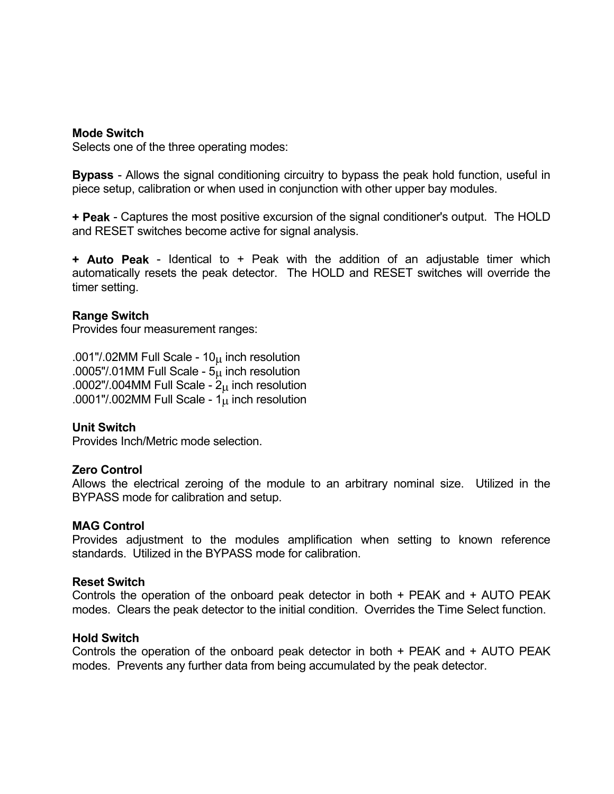### **Mode Switch**

Selects one of the three operating modes:

**Bypass** - Allows the signal conditioning circuitry to bypass the peak hold function, useful in piece setup, calibration or when used in conjunction with other upper bay modules.

**+ Peak** - Captures the most positive excursion of the signal conditioner's output. The HOLD and RESET switches become active for signal analysis.

**+ Auto Peak** - Identical to + Peak with the addition of an adjustable timer which automatically resets the peak detector. The HOLD and RESET switches will override the timer setting.

### **Range Switch**

Provides four measurement ranges:

.001"/.02MM Full Scale -  $10<sub>µ</sub>$  inch resolution .0005"/.01MM Full Scale -  $5<sub>u</sub>$  inch resolution .0002"/.004MM Full Scale -  $2<sub>\mu</sub>$  inch resolution .0001"/.002MM Full Scale -  $1<sub>µ</sub>$  inch resolution

### **Unit Switch**

Provides Inch/Metric mode selection.

#### **Zero Control**

Allows the electrical zeroing of the module to an arbitrary nominal size. Utilized in the BYPASS mode for calibration and setup.

### **MAG Control**

Provides adjustment to the modules amplification when setting to known reference standards. Utilized in the BYPASS mode for calibration.

#### **Reset Switch**

Controls the operation of the onboard peak detector in both + PEAK and + AUTO PEAK modes. Clears the peak detector to the initial condition. Overrides the Time Select function.

#### **Hold Switch**

Controls the operation of the onboard peak detector in both + PEAK and + AUTO PEAK modes. Prevents any further data from being accumulated by the peak detector.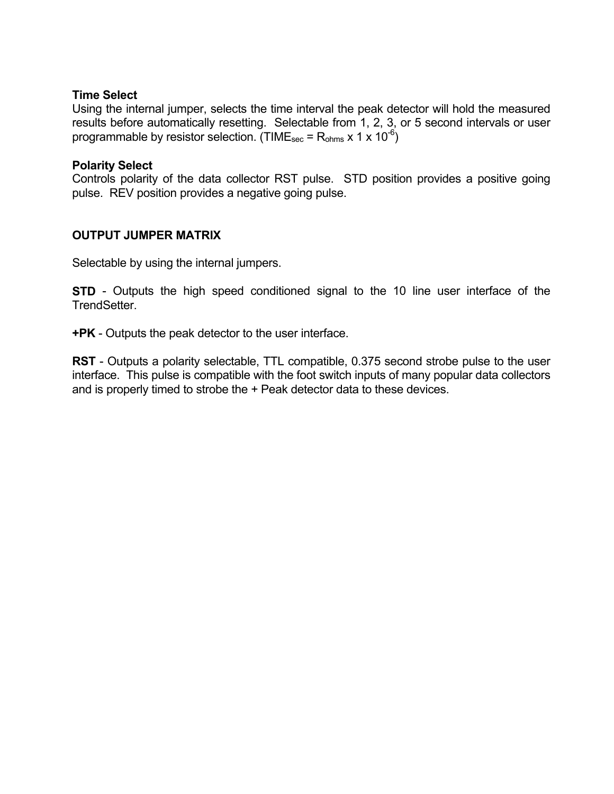### **Time Select**

Using the internal jumper, selects the time interval the peak detector will hold the measured results before automatically resetting. Selectable from 1, 2, 3, or 5 second intervals or user programmable by resistor selection. (TIME<sub>sec</sub> = R<sub>ohms</sub> x 1 x 10<sup>-6</sup>)

### **Polarity Select**

Controls polarity of the data collector RST pulse. STD position provides a positive going pulse. REV position provides a negative going pulse.

### **OUTPUT JUMPER MATRIX**

Selectable by using the internal jumpers.

**STD** - Outputs the high speed conditioned signal to the 10 line user interface of the TrendSetter.

**+PK** - Outputs the peak detector to the user interface.

**RST** - Outputs a polarity selectable, TTL compatible, 0.375 second strobe pulse to the user interface. This pulse is compatible with the foot switch inputs of many popular data collectors and is properly timed to strobe the + Peak detector data to these devices.